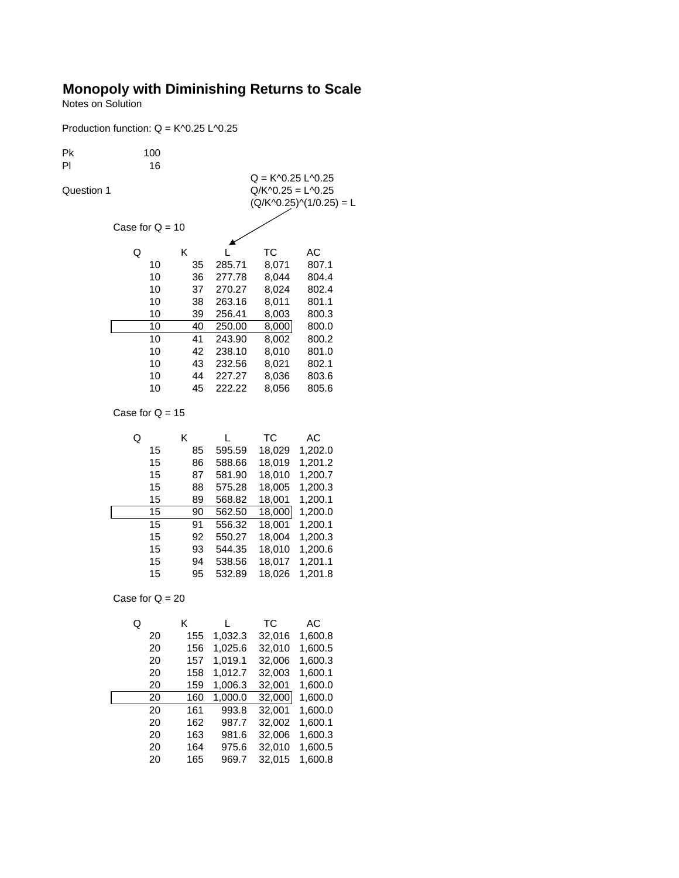## **Monopoly with Diminishing Returns to Scale**

Notes on Solution

Production function: Q = K^0.25 L^0.25

| Pk<br>PI   | 100               |          |                  |                                               |                           |  |
|------------|-------------------|----------|------------------|-----------------------------------------------|---------------------------|--|
|            | 16                |          |                  | $Q = K \cdot 0.25$ L $\cdot 0.25$             |                           |  |
| Question 1 |                   |          |                  | $Q/K$ <sup><math>0.25 = L</math></sup> $0.25$ |                           |  |
|            |                   |          |                  |                                               | $(Q/K^0.25)^(1/0.25) = L$ |  |
|            |                   |          |                  |                                               |                           |  |
|            | Case for $Q = 10$ |          |                  |                                               |                           |  |
|            |                   |          |                  |                                               |                           |  |
|            | Q                 | Κ        |                  | ТC                                            | АC                        |  |
|            | 10                | 35       | 285.71           | 8,071                                         | 807.1                     |  |
|            | 10                | 36       | 277.78           | 8,044                                         | 804.4                     |  |
|            | 10                | 37       | 270.27           | 8,024                                         | 802.4                     |  |
|            | 10                | 38       | 263.16           | 8,011                                         | 801.1                     |  |
|            | 10                | 39       | 256.41           | 8,003                                         | 800.3                     |  |
|            | 10                | 40       | 250.00           | 8,000                                         | 800.0                     |  |
|            | 10<br>10          | 41<br>42 | 243.90           | 8,002                                         | 800.2                     |  |
|            | 10                | 43       | 238.10           | 8,010                                         | 801.0                     |  |
|            | 10                | 44       | 232.56<br>227.27 | 8,021<br>8,036                                | 802.1<br>803.6            |  |
|            | 10                | 45       | 222.22           | 8,056                                         | 805.6                     |  |
|            |                   |          |                  |                                               |                           |  |
|            | Case for $Q = 15$ |          |                  |                                               |                           |  |
|            | Q                 | Κ        | L                | <b>TC</b>                                     | АC                        |  |
|            | 15                | 85       | 595.59           | 18,029                                        | 1,202.0                   |  |
|            | 15                | 86       | 588.66           | 18,019                                        | 1,201.2                   |  |
|            | 15                | 87       | 581.90           | 18,010                                        | 1,200.7                   |  |
|            | 15                | 88       | 575.28           | 18,005                                        | 1,200.3                   |  |
|            | 15                | 89       | 568.82           | 18,001                                        | 1,200.1                   |  |
|            | 15                | 90       | 562.50           | 18,000                                        | 1,200.0                   |  |
|            | 15                | 91       | 556.32           | 18,001                                        | 1,200.1                   |  |
|            | 15                | 92       | 550.27           | 18,004                                        | 1,200.3                   |  |
|            | 15                | 93       | 544.35           | 18,010                                        | 1,200.6                   |  |
|            | 15                | 94       | 538.56           | 18,017                                        | 1,201.1                   |  |
|            | 15                | 95       | 532.89           | 18,026                                        | 1,201.8                   |  |
|            | Case for $Q = 20$ |          |                  |                                               |                           |  |
|            | Q                 | Κ        | L                | ТC                                            | АC                        |  |
|            | 20                | 155      | 1,032.3          | 32,016                                        | 1,600.8                   |  |
|            | 20                | 156      | 1,025.6          | 32,010                                        | 1,600.5                   |  |
|            | 20                | 157      | 1,019.1          | 32,006                                        | 1,600.3                   |  |
|            | 20                | 158      | 1,012.7          | 32,003                                        | 1,600.1                   |  |
|            | 20                | 159      | 1,006.3          | 32,001                                        | 1,600.0                   |  |
|            | 20                | 160      | 1,000.0          | 32,000                                        | 1,600.0                   |  |
|            | 20                | 161      | 993.8            | 32,001                                        | 1,600.0                   |  |
|            | 20                | 162      | 987.7            | 32,002                                        | 1,600.1                   |  |
|            | 20                | 163      | 981.6            | 32,006                                        | 1,600.3                   |  |
|            | 20                | 164      | 975.6            | 32,010                                        | 1,600.5                   |  |
|            | 20                | 165      | 969.7            | 32,015                                        | 1,600.8                   |  |
|            |                   |          |                  |                                               |                           |  |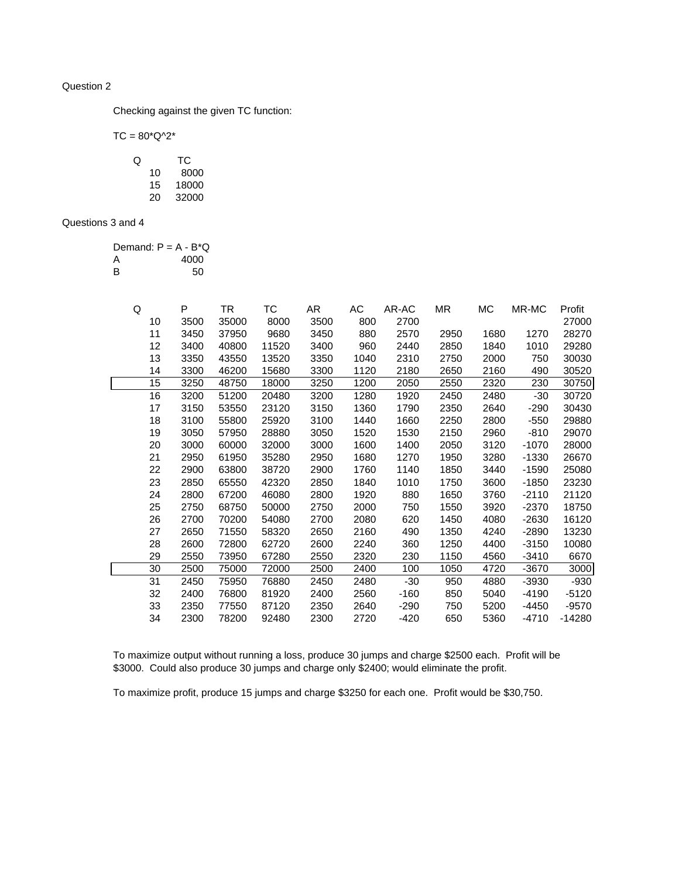## Question 2

Checking against the given TC function:

 $TC = 80^{\ast}Q^{\wedge}2^{\ast}$ 

| O |    | ТC    |
|---|----|-------|
|   | 10 | 8000  |
|   | 15 | 18000 |
|   | 20 | 32000 |

## Questions 3 and 4

|   | Demand: $P = A - B^*Q$ |
|---|------------------------|
| A | 4000                   |
| в | 50                     |

| Q  | P    | TR    | ТC    | AR   | АC   | AR-AC  | ΜR   | МC   | MR-MC   | Profit  |
|----|------|-------|-------|------|------|--------|------|------|---------|---------|
| 10 | 3500 | 35000 | 8000  | 3500 | 800  | 2700   |      |      |         | 27000   |
| 11 | 3450 | 37950 | 9680  | 3450 | 880  | 2570   | 2950 | 1680 | 1270    | 28270   |
| 12 | 3400 | 40800 | 11520 | 3400 | 960  | 2440   | 2850 | 1840 | 1010    | 29280   |
| 13 | 3350 | 43550 | 13520 | 3350 | 1040 | 2310   | 2750 | 2000 | 750     | 30030   |
| 14 | 3300 | 46200 | 15680 | 3300 | 1120 | 2180   | 2650 | 2160 | 490     | 30520   |
| 15 | 3250 | 48750 | 18000 | 3250 | 1200 | 2050   | 2550 | 2320 | 230     | 30750   |
| 16 | 3200 | 51200 | 20480 | 3200 | 1280 | 1920   | 2450 | 2480 | $-30$   | 30720   |
| 17 | 3150 | 53550 | 23120 | 3150 | 1360 | 1790   | 2350 | 2640 | $-290$  | 30430   |
| 18 | 3100 | 55800 | 25920 | 3100 | 1440 | 1660   | 2250 | 2800 | $-550$  | 29880   |
| 19 | 3050 | 57950 | 28880 | 3050 | 1520 | 1530   | 2150 | 2960 | $-810$  | 29070   |
| 20 | 3000 | 60000 | 32000 | 3000 | 1600 | 1400   | 2050 | 3120 | -1070   | 28000   |
| 21 | 2950 | 61950 | 35280 | 2950 | 1680 | 1270   | 1950 | 3280 | -1330   | 26670   |
| 22 | 2900 | 63800 | 38720 | 2900 | 1760 | 1140   | 1850 | 3440 | $-1590$ | 25080   |
| 23 | 2850 | 65550 | 42320 | 2850 | 1840 | 1010   | 1750 | 3600 | $-1850$ | 23230   |
| 24 | 2800 | 67200 | 46080 | 2800 | 1920 | 880    | 1650 | 3760 | $-2110$ | 21120   |
| 25 | 2750 | 68750 | 50000 | 2750 | 2000 | 750    | 1550 | 3920 | $-2370$ | 18750   |
| 26 | 2700 | 70200 | 54080 | 2700 | 2080 | 620    | 1450 | 4080 | $-2630$ | 16120   |
| 27 | 2650 | 71550 | 58320 | 2650 | 2160 | 490    | 1350 | 4240 | $-2890$ | 13230   |
| 28 | 2600 | 72800 | 62720 | 2600 | 2240 | 360    | 1250 | 4400 | $-3150$ | 10080   |
| 29 | 2550 | 73950 | 67280 | 2550 | 2320 | 230    | 1150 | 4560 | $-3410$ | 6670    |
| 30 | 2500 | 75000 | 72000 | 2500 | 2400 | 100    | 1050 | 4720 | $-3670$ | 3000    |
| 31 | 2450 | 75950 | 76880 | 2450 | 2480 | $-30$  | 950  | 4880 | $-3930$ | -930    |
| 32 | 2400 | 76800 | 81920 | 2400 | 2560 | $-160$ | 850  | 5040 | -4190   | $-5120$ |
| 33 | 2350 | 77550 | 87120 | 2350 | 2640 | -290   | 750  | 5200 | $-4450$ | $-9570$ |
| 34 | 2300 | 78200 | 92480 | 2300 | 2720 | $-420$ | 650  | 5360 | -4710   | -14280  |

To maximize output without running a loss, produce 30 jumps and charge \$2500 each. Profit will be \$3000. Could also produce 30 jumps and charge only \$2400; would eliminate the profit.

To maximize profit, produce 15 jumps and charge \$3250 for each one. Profit would be \$30,750.